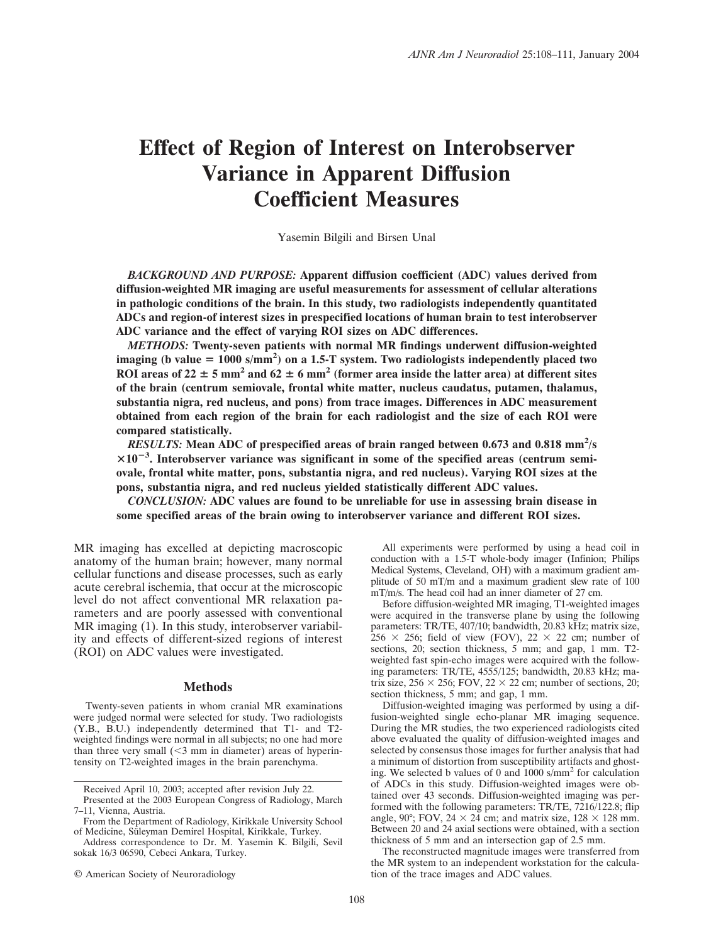# **Effect of Region of Interest on Interobserver Variance in Apparent Diffusion Coefficient Measures**

Yasemin Bilgili and Birsen Unal

*BACKGROUND AND PURPOSE:* **Apparent diffusion coefficient (ADC) values derived from diffusion-weighted MR imaging are useful measurements for assessment of cellular alterations in pathologic conditions of the brain. In this study, two radiologists independently quantitated ADCs and region-of interest sizes in prespecified locations of human brain to test interobserver ADC variance and the effect of varying ROI sizes on ADC differences.**

*METHODS:* **Twenty-seven patients with normal MR findings underwent diffusion-weighted** imaging (b value = 1000 s/mm<sup>2</sup>) on a 1.5-T system. Two radiologists independently placed two ROI areas of  $22 \pm 5$  mm<sup>2</sup> and  $62 \pm 6$  mm<sup>2</sup> (former area inside the latter area) at different sites **of the brain (centrum semiovale, frontal white matter, nucleus caudatus, putamen, thalamus, substantia nigra, red nucleus, and pons) from trace images. Differences in ADC measurement obtained from each region of the brain for each radiologist and the size of each ROI were compared statistically.**

RESULTS: Mean ADC of prespecified areas of brain ranged between 0.673 and 0.818 mm<sup>2</sup>/s **10<sup>3</sup> . Interobserver variance was significant in some of the specified areas (centrum semiovale, frontal white matter, pons, substantia nigra, and red nucleus). Varying ROI sizes at the pons, substantia nigra, and red nucleus yielded statistically different ADC values.**

*CONCLUSION:* **ADC values are found to be unreliable for use in assessing brain disease in some specified areas of the brain owing to interobserver variance and different ROI sizes.**

MR imaging has excelled at depicting macroscopic anatomy of the human brain; however, many normal cellular functions and disease processes, such as early acute cerebral ischemia, that occur at the microscopic level do not affect conventional MR relaxation parameters and are poorly assessed with conventional MR imaging (1). In this study, interobserver variability and effects of different-sized regions of interest (ROI) on ADC values were investigated.

## **Methods**

Twenty-seven patients in whom cranial MR examinations were judged normal were selected for study. Two radiologists (Y.B., B.U.) independently determined that T1- and T2 weighted findings were normal in all subjects; no one had more than three very small  $(\leq 3$  mm in diameter) areas of hyperintensity on T2-weighted images in the brain parenchyma.

All experiments were performed by using a head coil in conduction with a 1.5-T whole-body imager (Infinion; Philips Medical Systems, Cleveland, OH) with a maximum gradient amplitude of 50 mT/m and a maximum gradient slew rate of 100 mT/m/s. The head coil had an inner diameter of 27 cm.

Before diffusion-weighted MR imaging, T1-weighted images were acquired in the transverse plane by using the following parameters: TR/TE, 407/10; bandwidth, 20.83 kHz; matrix size,  $256 \times 256$ ; field of view (FOV),  $22 \times 22$  cm; number of sections, 20; section thickness, 5 mm; and gap, 1 mm. T2weighted fast spin-echo images were acquired with the following parameters: TR/TE, 4555/125; bandwidth, 20.83 kHz; matrix size,  $256 \times 256$ ; FOV,  $22 \times 22$  cm; number of sections,  $20$ ; section thickness, 5 mm; and gap, 1 mm.

Diffusion-weighted imaging was performed by using a diffusion-weighted single echo-planar MR imaging sequence. During the MR studies, the two experienced radiologists cited above evaluated the quality of diffusion-weighted images and selected by consensus those images for further analysis that had a minimum of distortion from susceptibility artifacts and ghosting. We selected b values of 0 and 1000 s/mm<sup>2</sup> for calculation of ADCs in this study. Diffusion-weighted images were obtained over 43 seconds. Diffusion-weighted imaging was performed with the following parameters: TR/TE, 7216/122.8; flip angle, 90°; FOV, 24  $\times$  24 cm; and matrix size, 128  $\times$  128 mm. Between 20 and 24 axial sections were obtained, with a section thickness of 5 mm and an intersection gap of 2.5 mm.

The reconstructed magnitude images were transferred from the MR system to an independent workstation for the calculation of the trace images and ADC values.

Received April 10, 2003; accepted after revision July 22.

Presented at the 2003 European Congress of Radiology, March 7–11, Vienna, Austria.

From the Department of Radiology, Kirikkale University School of Medicine, Süleyman Demirel Hospital, Kirikkale, Turkey.

Address correspondence to Dr. M. Yasemin K. Bilgili, Sevil sokak 16/3 06590, Cebeci Ankara, Turkey.

<sup>©</sup> American Society of Neuroradiology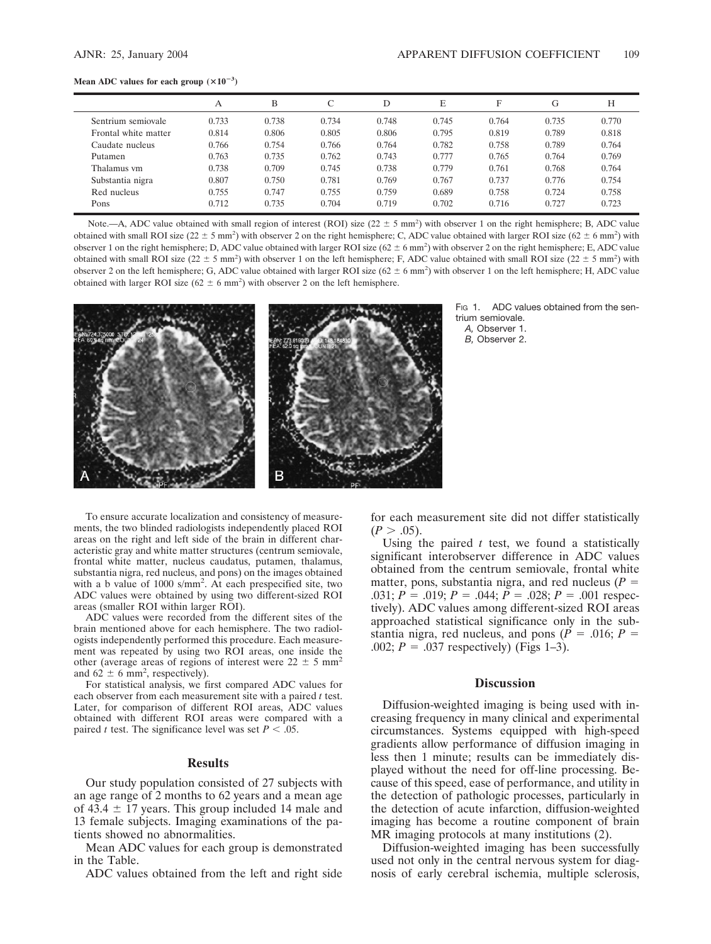#### Mean ADC values for each group  $(\times 10^{-3})$

|                      | А     | В     |       | D     | E     | F     | G     | Н     |
|----------------------|-------|-------|-------|-------|-------|-------|-------|-------|
| Sentrium semiovale   | 0.733 | 0.738 | 0.734 | 0.748 | 0.745 | 0.764 | 0.735 | 0.770 |
| Frontal white matter | 0.814 | 0.806 | 0.805 | 0.806 | 0.795 | 0.819 | 0.789 | 0.818 |
| Caudate nucleus      | 0.766 | 0.754 | 0.766 | 0.764 | 0.782 | 0.758 | 0.789 | 0.764 |
| Putamen              | 0.763 | 0.735 | 0.762 | 0.743 | 0.777 | 0.765 | 0.764 | 0.769 |
| Thalamus vm          | 0.738 | 0.709 | 0.745 | 0.738 | 0.779 | 0.761 | 0.768 | 0.764 |
| Substantia nigra     | 0.807 | 0.750 | 0.781 | 0.769 | 0.767 | 0.737 | 0.776 | 0.754 |
| Red nucleus          | 0.755 | 0.747 | 0.755 | 0.759 | 0.689 | 0.758 | 0.724 | 0.758 |
| Pons                 | 0.712 | 0.735 | 0.704 | 0.719 | 0.702 | 0.716 | 0.727 | 0.723 |
|                      |       |       |       |       |       |       |       |       |

Note.—A, ADC value obtained with small region of interest (ROI) size ( $22 \pm 5$  mm<sup>2</sup>) with observer 1 on the right hemisphere; B, ADC value obtained with small ROI size ( $22 \pm 5$  mm<sup>2</sup>) with observer 2 on the right hemisphere; C, ADC value obtained with larger ROI size ( $62 \pm 6$  mm<sup>2</sup>) with observer 1 on the right hemisphere; D, ADC value obtained with larger ROI size  $(62 \pm 6 \text{ mm}^2)$  with observer 2 on the right hemisphere; E, ADC value obtained with small ROI size  $(22 \pm 5 \text{ mm}^2)$  with observer 1 on the left hemisphere; F, ADC value obtained with small ROI size  $(22 \pm 5 \text{ mm}^2)$  with observer 2 on the left hemisphere; G, ADC value obtained with larger ROI size  $(62 \pm 6 \text{ mm}^2)$  with observer 1 on the left hemisphere; H, ADC value obtained with larger ROI size  $(62 \pm 6 \text{ mm}^2)$  with observer 2 on the left hemisphere.



Fig. 1. ADC values obtained from the sentrium semiovale. *A,* Observer 1.

*B,* Observer 2.

To ensure accurate localization and consistency of measurements, the two blinded radiologists independently placed ROI areas on the right and left side of the brain in different characteristic gray and white matter structures (centrum semiovale, frontal white matter, nucleus caudatus, putamen, thalamus, substantia nigra, red nucleus, and pons) on the images obtained with a b value of 1000 s/mm2 . At each prespecified site, two ADC values were obtained by using two different-sized ROI areas (smaller ROI within larger ROI).

ADC values were recorded from the different sites of the brain mentioned above for each hemisphere. The two radiologists independently performed this procedure. Each measurement was repeated by using two ROI areas, one inside the other (average areas of regions of interest were  $22 \pm 5$  mm<sup>2</sup> and  $62 \pm 6$  mm<sup>2</sup>, respectively).

For statistical analysis, we first compared ADC values for each observer from each measurement site with a paired *t* test. Later, for comparison of different ROI areas, ADC values obtained with different ROI areas were compared with a paired *t* test. The significance level was set  $P < .05$ .

## **Results**

Our study population consisted of 27 subjects with an age range of 2 months to 62 years and a mean age of 43.4  $\pm$  17 years. This group included 14 male and 13 female subjects. Imaging examinations of the patients showed no abnormalities.

Mean ADC values for each group is demonstrated in the Table.

ADC values obtained from the left and right side

for each measurement site did not differ statistically  $(P > .05)$ .

Using the paired  $t$  test, we found a statistically significant interobserver difference in ADC values obtained from the centrum semiovale, frontal white matter, pons, substantia nigra, and red nucleus (*P* .031;  $P = .019$ ;  $P = .044$ ;  $P = .028$ ;  $P = .001$  respectively). ADC values among different-sized ROI areas approached statistical significance only in the substantia nigra, red nucleus, and pons  $(P = .016; P = .016)$ .002;  $P = .037$  respectively) (Figs 1–3).

# **Discussion**

Diffusion-weighted imaging is being used with increasing frequency in many clinical and experimental circumstances. Systems equipped with high-speed gradients allow performance of diffusion imaging in less then 1 minute; results can be immediately displayed without the need for off-line processing. Because of this speed, ease of performance, and utility in the detection of pathologic processes, particularly in the detection of acute infarction, diffusion-weighted imaging has become a routine component of brain MR imaging protocols at many institutions (2).

Diffusion-weighted imaging has been successfully used not only in the central nervous system for diagnosis of early cerebral ischemia, multiple sclerosis,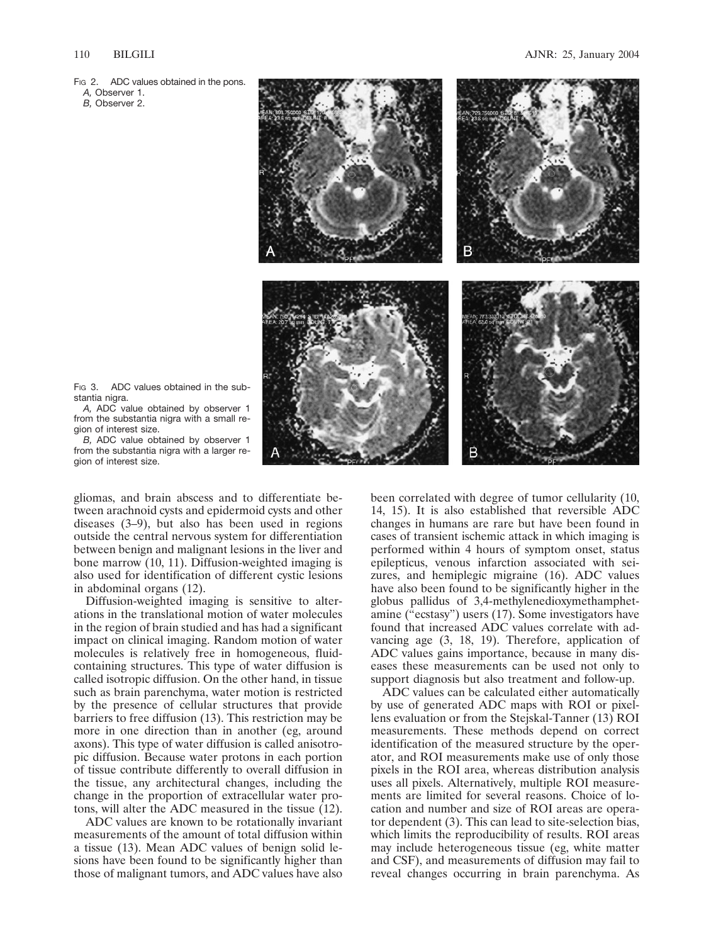*A,* Observer 1.

*B,* Observer 2.



F<sub>IG</sub> 3. ADC values obtained in the substantia nigra.

*A,* ADC value obtained by observer 1 from the substantia nigra with a small region of interest size.

*B,* ADC value obtained by observer 1 from the substantia nigra with a larger region of interest size.

gliomas, and brain abscess and to differentiate between arachnoid cysts and epidermoid cysts and other diseases (3–9), but also has been used in regions outside the central nervous system for differentiation between benign and malignant lesions in the liver and bone marrow (10, 11). Diffusion-weighted imaging is also used for identification of different cystic lesions in abdominal organs (12).

Diffusion-weighted imaging is sensitive to alterations in the translational motion of water molecules in the region of brain studied and has had a significant impact on clinical imaging. Random motion of water molecules is relatively free in homogeneous, fluidcontaining structures. This type of water diffusion is called isotropic diffusion. On the other hand, in tissue such as brain parenchyma, water motion is restricted by the presence of cellular structures that provide barriers to free diffusion (13). This restriction may be more in one direction than in another (eg, around axons). This type of water diffusion is called anisotropic diffusion. Because water protons in each portion of tissue contribute differently to overall diffusion in the tissue, any architectural changes, including the change in the proportion of extracellular water protons, will alter the ADC measured in the tissue  $(12)$ .

ADC values are known to be rotationally invariant measurements of the amount of total diffusion within a tissue (13). Mean ADC values of benign solid lesions have been found to be significantly higher than those of malignant tumors, and ADC values have also been correlated with degree of tumor cellularity (10, 14, 15). It is also established that reversible ADC changes in humans are rare but have been found in cases of transient ischemic attack in which imaging is performed within 4 hours of symptom onset, status epilepticus, venous infarction associated with seizures, and hemiplegic migraine (16). ADC values have also been found to be significantly higher in the globus pallidus of 3,4-methylenedioxymethamphetamine ( $\epsilon$  ecstasy") users (17). Some investigators have found that increased ADC values correlate with advancing age (3, 18, 19). Therefore, application of ADC values gains importance, because in many diseases these measurements can be used not only to support diagnosis but also treatment and follow-up.

ADC values can be calculated either automatically by use of generated ADC maps with ROI or pixellens evaluation or from the Stejskal-Tanner (13) ROI measurements. These methods depend on correct identification of the measured structure by the operator, and ROI measurements make use of only those pixels in the ROI area, whereas distribution analysis uses all pixels. Alternatively, multiple ROI measurements are limited for several reasons. Choice of location and number and size of ROI areas are operator dependent (3). This can lead to site-selection bias, which limits the reproducibility of results. ROI areas may include heterogeneous tissue (eg, white matter and CSF), and measurements of diffusion may fail to reveal changes occurring in brain parenchyma. As